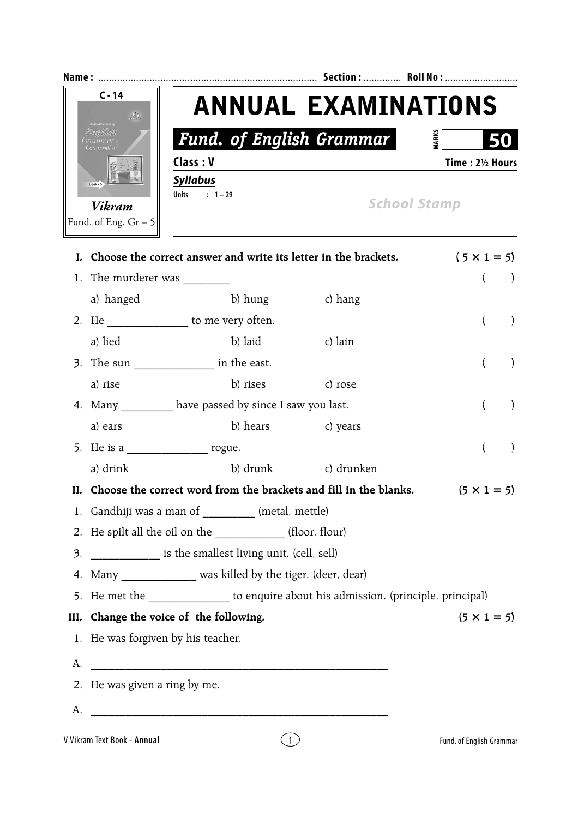| <b>Name</b>                                                          |                                                           | Section:  Roll No:  |  |
|----------------------------------------------------------------------|-----------------------------------------------------------|---------------------|--|
| $C - 14$<br>$\mathcal{P}_\mathcal{P}$                                | <b>ANNUAL EXAMINATIONS</b>                                |                     |  |
| <b><i>Fundamentals of</i></b><br>Englüsh<br>Grammar &<br>Composition | <b>Fund. of English Grammar</b>                           | <b>MARK</b><br>50   |  |
|                                                                      | Class: V<br><b>Syllabus</b><br>$: 1 - 29$<br><b>Units</b> | Time: 21/2 Hours    |  |
| Vikram<br>Fund. of Eng. $Gr-5$                                       |                                                           | <b>School Stamp</b> |  |

|    | I. Choose the correct answer and write its letter in the brackets.                   |                                                         |                                                                       | $(5 \times 1 = 5)$           |  |  |
|----|--------------------------------------------------------------------------------------|---------------------------------------------------------|-----------------------------------------------------------------------|------------------------------|--|--|
|    |                                                                                      |                                                         |                                                                       | $\left( \right)$             |  |  |
|    | a) hanged                                                                            | b) hung                                                 | c) hang                                                               |                              |  |  |
|    | 2. He ________________ to me very often.                                             |                                                         |                                                                       | $\left($<br>$\mathcal{F}$    |  |  |
|    | a) lied                                                                              | b) laid                                                 | c) lain                                                               |                              |  |  |
|    | 3. The sun ____________________ in the east.                                         |                                                         |                                                                       | $\left($<br>$\left( \right)$ |  |  |
|    | a) rise                                                                              | b) rises                                                | c) rose                                                               |                              |  |  |
|    |                                                                                      | 4. Many __________ have passed by since I saw you last. |                                                                       | $\left($<br>$\left( \right)$ |  |  |
|    | a) ears                                                                              | b) hears c) years                                       |                                                                       |                              |  |  |
|    | 5. He is a ______________________ rogue.                                             |                                                         |                                                                       | $\left($<br>$\left( \right)$ |  |  |
|    | a) drink                                                                             |                                                         | b) drunk c) drunken                                                   |                              |  |  |
|    |                                                                                      |                                                         | II. Choose the correct word from the brackets and fill in the blanks. | $(5 \times 1 = 5)$           |  |  |
|    | 1. Gandhiji was a man of _________ (metal, mettle)                                   |                                                         |                                                                       |                              |  |  |
|    | 2. He spilt all the oil on the _____________(floor, flour)                           |                                                         |                                                                       |                              |  |  |
|    | 3. ______________ is the smallest living unit. (cell, sell)                          |                                                         |                                                                       |                              |  |  |
|    | 4. Many _____________ was killed by the tiger. (deer, dear)                          |                                                         |                                                                       |                              |  |  |
|    | 5. He met the _______________ to enquire about his admission. (principle, principal) |                                                         |                                                                       |                              |  |  |
|    | III. Change the voice of the following.<br>$(5 \times 1 = 5)$                        |                                                         |                                                                       |                              |  |  |
|    | 1. He was forgiven by his teacher.                                                   |                                                         |                                                                       |                              |  |  |
| А. |                                                                                      |                                                         |                                                                       |                              |  |  |
|    | 2. He was given a ring by me.                                                        |                                                         |                                                                       |                              |  |  |
| А. |                                                                                      |                                                         |                                                                       |                              |  |  |
|    | V Vikram Text Book - Annual                                                          | $\left(1\right)$                                        |                                                                       | Fund. of English Grammar     |  |  |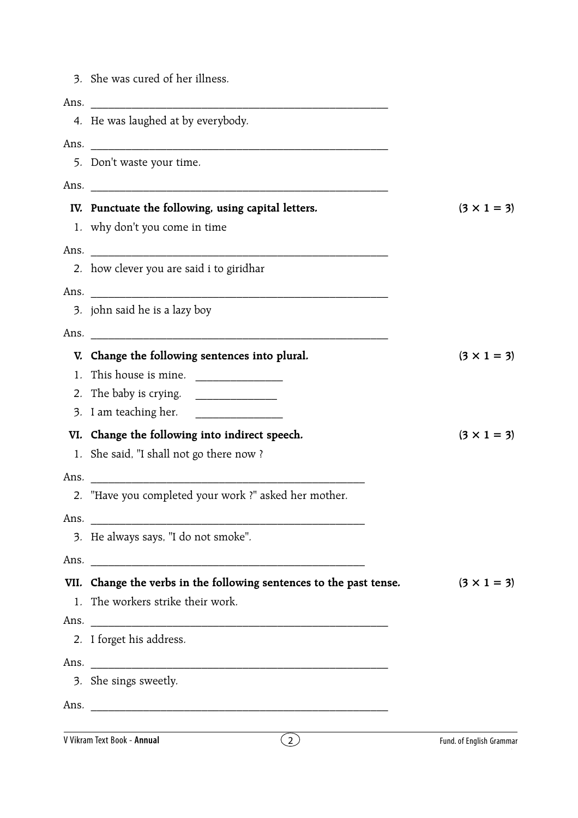3. She was cured of her illness.

| Ans. |                                                                                |                          |
|------|--------------------------------------------------------------------------------|--------------------------|
|      | 4. He was laughed at by everybody.                                             |                          |
| Ans. |                                                                                |                          |
|      | 5. Don't waste your time.                                                      |                          |
|      |                                                                                |                          |
|      | IV. Punctuate the following, using capital letters.                            | $(3 \times 1 = 3)$       |
|      | 1. why don't you come in time                                                  |                          |
|      | Ans.                                                                           |                          |
|      | 2. how clever you are said i to giridhar                                       |                          |
|      | Ans.                                                                           |                          |
|      | 3. john said he is a lazy boy                                                  |                          |
| Ans. |                                                                                |                          |
|      | V. Change the following sentences into plural.                                 | $(3 \times 1 = 3)$       |
|      | 1. This house is mine. $\frac{1}{2}$                                           |                          |
|      | 2. The baby is crying.<br><u> 1980 - Jan Barnett, fransk politik (d. 1980)</u> |                          |
|      | 3. I am teaching her.                                                          |                          |
|      | VI. Change the following into indirect speech.                                 | $(3 \times 1 = 3)$       |
|      | 1. She said, "I shall not go there now?                                        |                          |
| Ans. |                                                                                |                          |
|      | 2. "Have you completed your work ?" asked her mother.                          |                          |
| Ans. |                                                                                |                          |
|      | 3. He always says, "I do not smoke".                                           |                          |
|      | Ans.                                                                           |                          |
|      | VII. Change the verbs in the following sentences to the past tense.            | $(3 \times 1 = 3)$       |
|      | 1. The workers strike their work.                                              |                          |
|      |                                                                                |                          |
|      | 2. I forget his address.                                                       |                          |
|      | Ans.                                                                           |                          |
|      | 3. She sings sweetly.                                                          |                          |
|      |                                                                                |                          |
|      | V Vikram Text Book - Annual                                                    |                          |
|      | $\left( 2\right)$                                                              | Fund. of English Grammar |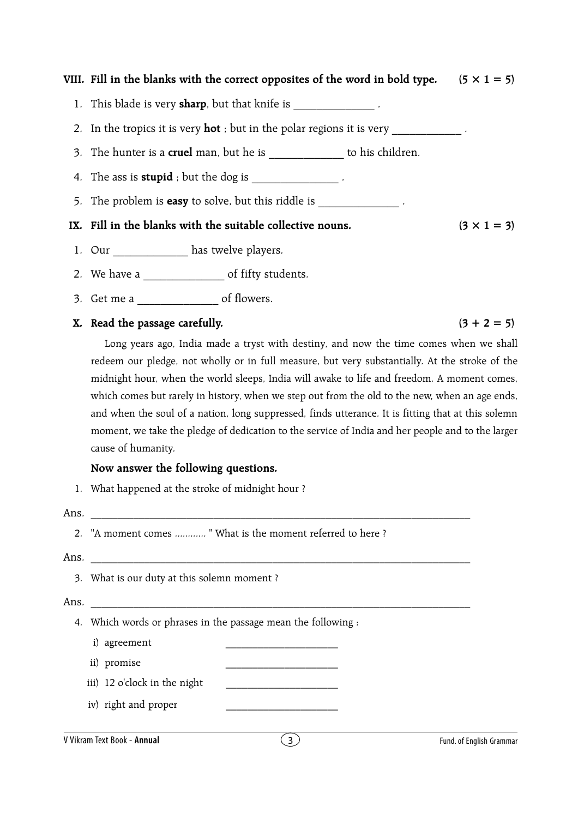# VIII. Fill in the blanks with the correct opposites of the word in bold type.  $(5 \times 1 = 5)$

1. This blade is very **sharp**, but that knife is  $\cdot$ 

2. In the tropics it is very **hot** ; but in the polar regions it is very

- 3. The hunter is a **cruel** man, but he is \_\_\_\_\_\_\_\_\_\_\_\_\_ to his children.
- 4. The ass is **stupid** ; but the dog is  $\cdot$
- 5. The problem is **easy** to solve, but this riddle is .

# IX. Fill in the blanks with the suitable collective nouns.  $(3 \times 1 = 3)$

- 1. Our has twelve players.
- 2. We have a \_\_\_\_\_\_\_\_\_\_\_\_\_\_\_\_\_\_ of fifty students.
- 3. Get me a \_\_\_\_\_\_\_\_\_\_\_\_\_\_ of flowers.

## **X.** Read the passage carefully.  $(3 + 2 = 5)$

Long years ago, India made a tryst with destiny, and now the time comes when we shall redeem our pledge, not wholly or in full measure, but very substantially. At the stroke of the midnight hour, when the world sleeps, India will awake to life and freedom. A moment comes, which comes but rarely in history, when we step out from the old to the new, when an age ends, and when the soul of a nation, long suppressed, finds utterance. It is fitting that at this solemn moment, we take the pledge of dedication to the service of India and her people and to the larger cause of humanity.

### **Now answer the following questions.**

1. What happened at the stroke of midnight hour ?

#### Ans. \_\_\_\_\_\_\_\_\_\_\_\_\_\_\_\_\_\_\_\_\_\_\_\_\_\_\_\_\_\_\_\_\_\_\_\_\_\_\_\_\_\_\_\_\_\_\_\_\_\_\_\_\_\_\_\_\_\_\_\_\_\_\_\_\_\_\_\_\_\_\_

2. "A moment comes ............ " What is the moment referred to here ?

# Ans.  $\Box$

3. What is our duty at this solemn moment ?

# Ans. \_\_\_\_\_\_\_\_\_\_\_\_\_\_\_\_\_\_\_\_\_\_\_\_\_\_\_\_\_\_\_\_\_\_\_\_\_\_\_\_\_\_\_\_\_\_\_\_\_\_\_\_\_\_\_\_\_\_\_\_\_\_\_\_\_\_\_\_\_\_\_

- 4. Which words or phrases in the passage mean the following :
	- i) agreement
	- ii) promise
	- iii) 12 o'clock in the night
	- iv) right and proper